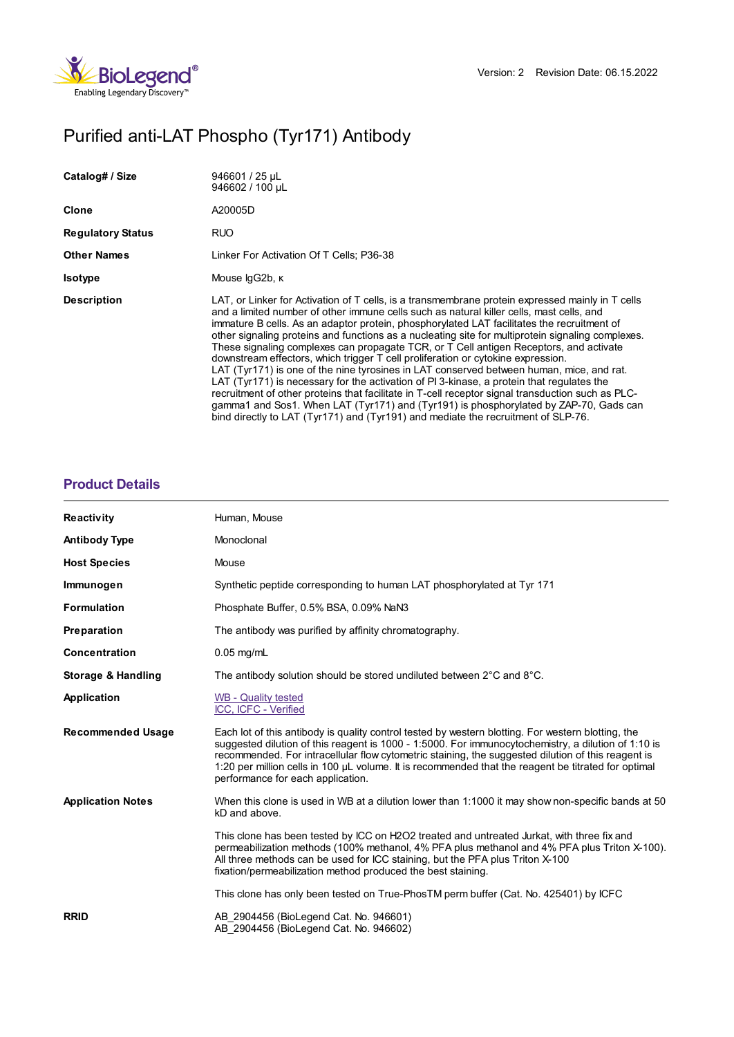

# Purified anti-LAT Phospho (Tyr171) Antibody

| Catalog# / Size          | 946601 / 25 µL<br>946602 / 100 µL                                                                                                                                                                                                                                                                                                                                                                                                                                                                                                                                                                                                                                                                                                                                                                                                                                                                                                                                                                                                                         |
|--------------------------|-----------------------------------------------------------------------------------------------------------------------------------------------------------------------------------------------------------------------------------------------------------------------------------------------------------------------------------------------------------------------------------------------------------------------------------------------------------------------------------------------------------------------------------------------------------------------------------------------------------------------------------------------------------------------------------------------------------------------------------------------------------------------------------------------------------------------------------------------------------------------------------------------------------------------------------------------------------------------------------------------------------------------------------------------------------|
| Clone                    | A20005D                                                                                                                                                                                                                                                                                                                                                                                                                                                                                                                                                                                                                                                                                                                                                                                                                                                                                                                                                                                                                                                   |
| <b>Regulatory Status</b> | RUO                                                                                                                                                                                                                                                                                                                                                                                                                                                                                                                                                                                                                                                                                                                                                                                                                                                                                                                                                                                                                                                       |
| <b>Other Names</b>       | Linker For Activation Of T Cells: P36-38                                                                                                                                                                                                                                                                                                                                                                                                                                                                                                                                                                                                                                                                                                                                                                                                                                                                                                                                                                                                                  |
| <b>Isotype</b>           | Mouse lgG2b, K                                                                                                                                                                                                                                                                                                                                                                                                                                                                                                                                                                                                                                                                                                                                                                                                                                                                                                                                                                                                                                            |
| <b>Description</b>       | LAT, or Linker for Activation of T cells, is a transmembrane protein expressed mainly in T cells<br>and a limited number of other immune cells such as natural killer cells, mast cells, and<br>immature B cells. As an adaptor protein, phosphorylated LAT facilitates the recruitment of<br>other signaling proteins and functions as a nucleating site for multiprotein signaling complexes.<br>These signaling complexes can propagate TCR, or T Cell antigen Receptors, and activate<br>downstream effectors, which trigger T cell proliferation or cytokine expression.<br>LAT (Tyr171) is one of the nine tyrosines in LAT conserved between human, mice, and rat.<br>LAT (Tyr171) is necessary for the activation of PI 3-kinase, a protein that regulates the<br>recruitment of other proteins that facilitate in T-cell receptor signal transduction such as PLC-<br>gamma1 and Sos1. When LAT (Tyr171) and (Tyr191) is phosphorylated by ZAP-70, Gads can<br>bind directly to LAT (Tyr171) and (Tyr191) and mediate the recruitment of SLP-76. |

## **[Product](https://www.biolegend.com/de-at/products/purified-anti-lat-phospho-tyr171-antibody-21505?pdf=true&displayInline=true&leftRightMargin=15&topBottomMargin=15&filename=Purified anti-LAT Phospho (Tyr171) Antibody.pdf#productDetails) Details**

| Reactivity                    | Human, Mouse                                                                                                                                                                                                                                                                                                                                                                                                                                                |
|-------------------------------|-------------------------------------------------------------------------------------------------------------------------------------------------------------------------------------------------------------------------------------------------------------------------------------------------------------------------------------------------------------------------------------------------------------------------------------------------------------|
| <b>Antibody Type</b>          | Monoclonal                                                                                                                                                                                                                                                                                                                                                                                                                                                  |
| <b>Host Species</b>           | Mouse                                                                                                                                                                                                                                                                                                                                                                                                                                                       |
| Immunogen                     | Synthetic peptide corresponding to human LAT phosphorylated at Tyr 171                                                                                                                                                                                                                                                                                                                                                                                      |
| <b>Formulation</b>            | Phosphate Buffer, 0.5% BSA, 0.09% NaN3                                                                                                                                                                                                                                                                                                                                                                                                                      |
| Preparation                   | The antibody was purified by affinity chromatography.                                                                                                                                                                                                                                                                                                                                                                                                       |
| Concentration                 | $0.05$ mg/mL                                                                                                                                                                                                                                                                                                                                                                                                                                                |
| <b>Storage &amp; Handling</b> | The antibody solution should be stored undiluted between 2°C and 8°C.                                                                                                                                                                                                                                                                                                                                                                                       |
| Application                   | <b>WB - Quality tested</b><br>ICC, ICFC - Verified                                                                                                                                                                                                                                                                                                                                                                                                          |
| <b>Recommended Usage</b>      | Each lot of this antibody is quality control tested by western blotting. For western blotting, the<br>suggested dilution of this reagent is 1000 - 1:5000. For immunocytochemistry, a dilution of 1:10 is<br>recommended. For intracellular flow cytometric staining, the suggested dilution of this reagent is<br>1:20 per million cells in 100 µL volume. It is recommended that the reagent be titrated for optimal<br>performance for each application. |
| <b>Application Notes</b>      | When this clone is used in WB at a dilution lower than 1:1000 it may show non-specific bands at 50<br>kD and above.                                                                                                                                                                                                                                                                                                                                         |
|                               | This clone has been tested by ICC on H2O2 treated and untreated Jurkat, with three fix and<br>permeabilization methods (100% methanol, 4% PFA plus methanol and 4% PFA plus Triton X-100).<br>All three methods can be used for ICC staining, but the PFA plus Triton X-100<br>fixation/permeabilization method produced the best staining.                                                                                                                 |
|                               | This clone has only been tested on True-PhosTM perm buffer (Cat. No. 425401) by ICFC                                                                                                                                                                                                                                                                                                                                                                        |
| <b>RRID</b>                   | AB 2904456 (BioLegend Cat. No. 946601)<br>AB 2904456 (BioLegend Cat. No. 946602)                                                                                                                                                                                                                                                                                                                                                                            |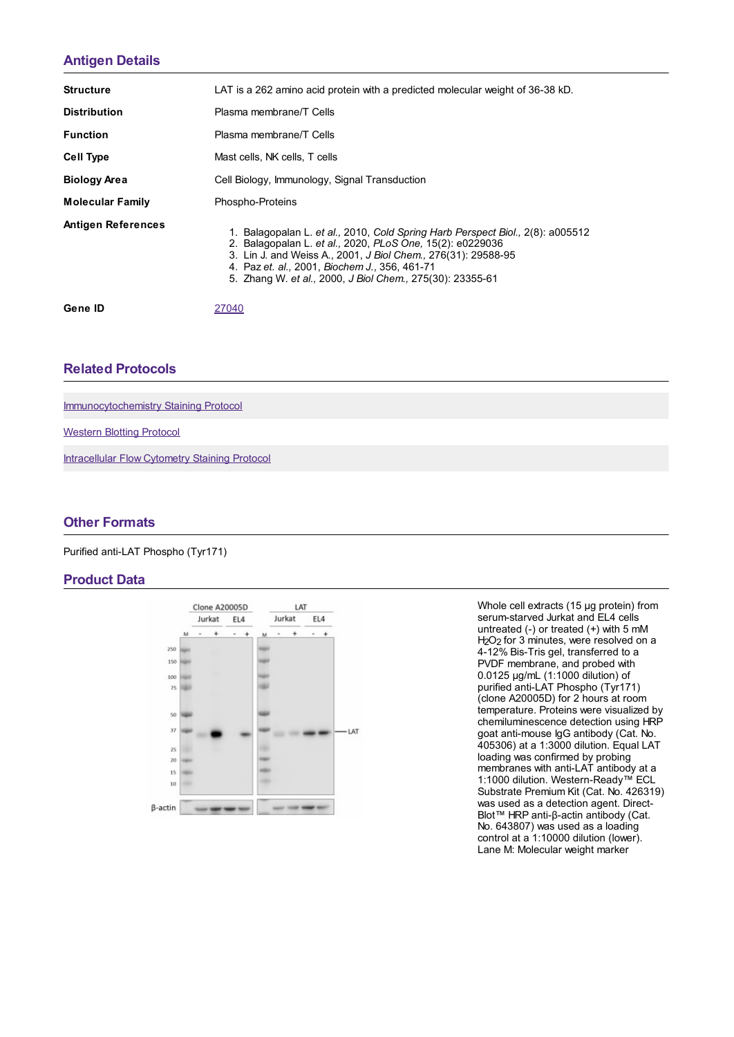## **[Antigen](https://www.biolegend.com/de-at/products/purified-anti-lat-phospho-tyr171-antibody-21505?pdf=true&displayInline=true&leftRightMargin=15&topBottomMargin=15&filename=Purified anti-LAT Phospho (Tyr171) Antibody.pdf#antigenDetails) Details**

| <b>Structure</b>          | LAT is a 262 amino acid protein with a predicted molecular weight of 36-38 kD.                                                                                                                                                                                                                                             |
|---------------------------|----------------------------------------------------------------------------------------------------------------------------------------------------------------------------------------------------------------------------------------------------------------------------------------------------------------------------|
| <b>Distribution</b>       | Plasma membrane/T Cells                                                                                                                                                                                                                                                                                                    |
| <b>Function</b>           | Plasma membrane/T Cells                                                                                                                                                                                                                                                                                                    |
| <b>Cell Type</b>          | Mast cells, NK cells, T cells                                                                                                                                                                                                                                                                                              |
| <b>Biology Area</b>       | Cell Biology, Immunology, Signal Transduction                                                                                                                                                                                                                                                                              |
| <b>Molecular Family</b>   | Phospho-Proteins                                                                                                                                                                                                                                                                                                           |
| <b>Antigen References</b> | 1. Balagopalan L. et al., 2010, Cold Spring Harb Perspect Biol., 2(8): a005512<br>2. Balagopalan L. et al., 2020, PLoS One, 15(2): e0229036<br>3. Lin J. and Weiss A., 2001, J Biol Chem., 276(31): 29588-95<br>4. Paz et. al., 2001, Biochem J., 356, 461-71<br>5. Zhang W. et al., 2000, J Biol Chem., 275(30): 23355-61 |
| Gene ID                   | 27040                                                                                                                                                                                                                                                                                                                      |

### **Related [Protocols](https://www.biolegend.com/de-at/products/purified-anti-lat-phospho-tyr171-antibody-21505?pdf=true&displayInline=true&leftRightMargin=15&topBottomMargin=15&filename=Purified anti-LAT Phospho (Tyr171) Antibody.pdf#productRelatedProtocols)**

[Immunocytochemistry](https://www.biolegend.com/protocols/immunocytochemistry-staining-protocol/4275/) Staining Protocol

[Western](https://www.biolegend.com/protocols/western-blotting-protocol/4269/) Blotting Protocol

[Intracellular](https://www.biolegend.com/protocols/intracellular-flow-cytometry-staining-protocol/4260/) Flow Cytometry Staining Protocol

### **Other [Formats](https://www.biolegend.com/de-at/products/purified-anti-lat-phospho-tyr171-antibody-21505?pdf=true&displayInline=true&leftRightMargin=15&topBottomMargin=15&filename=Purified anti-LAT Phospho (Tyr171) Antibody.pdf#productOtherFormats)**

Purified anti-LAT Phospho (Tyr171)

#### **Product Data**



Whole cell extracts (15 μg protein) from serum-starved Jurkat and EL4 cells untreated (-) or treated (+) with 5 mM H<sub>2</sub>O<sub>2</sub> for 3 minutes, were resolved on a 4-12% Bis-Tris gel, transferred to a PVDF membrane, and probed with 0.0125 μg/mL (1:1000 dilution) of purified anti-LAT Phospho (Tyr171) (clone A20005D) for 2 hours at room temperature. Proteins were visualized by chemiluminescence detection using HRP goat anti-mouse IgG antibody (Cat. No. 405306) at a 1:3000 dilution. Equal LAT loading was confirmed by probing membranes with anti-LAT antibody at a 1:1000 dilution. Western-Ready™ ECL Substrate Premium Kit (Cat. No. 426319) was used as a detection agent. Direct-Blot™ HRP anti-β-actin antibody (Cat. No. 643807) was used as a loading control at a 1:10000 dilution (lower). Lane M: Molecular weight marker